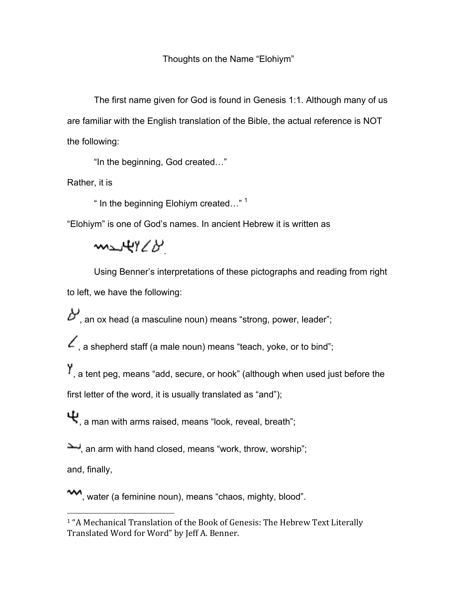Thoughts on the Name "Elohiym"

The first name given for God is found in Genesis 1:1. Although many of us are familiar with the English translation of the Bible, the actual reference is NOT the following:

"In the beginning, God created…"

Rather, it is

" In the beginning Elohiym created…" 1

"Elohiym" is one of God's names. In ancient Hebrew it is written as

me 4928

Using Benner's interpretations of these pictographs and reading from right to left, we have the following:

 $\mathcal{B}'$ , an ox head (a masculine noun) means "strong, power, leader";

 $\angle$ , a shepherd staff (a male noun) means "teach, yoke, or to bind";

, a tent peg, means "add, secure, or hook" (although when used just before the first letter of the word, it is usually translated as "and");

 $\Psi_{\rm a}$  a man with arms raised, means "look, reveal, breath";

an arm with hand closed, means "work, throw, worship";

and, finally,

 

**<sup>1</sup>**, water (a feminine noun), means "chaos, mighty, blood".

<sup>&</sup>lt;sup>1</sup> "A Mechanical Translation of the Book of Genesis: The Hebrew Text Literally Translated Word for Word" by Jeff A. Benner.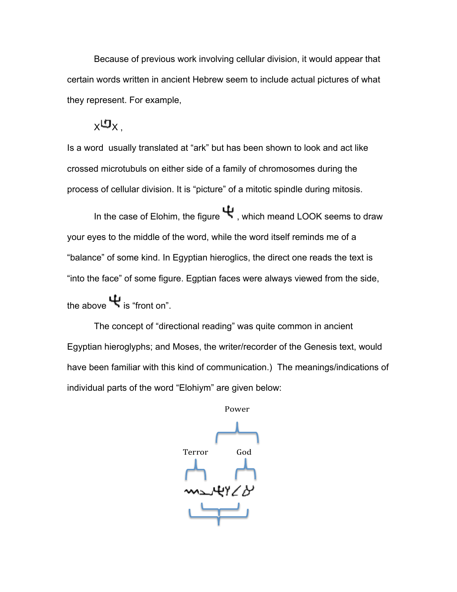Because of previous work involving cellular division, it would appear that certain words written in ancient Hebrew seem to include actual pictures of what they represent. For example,

 $_{\rm X}$ ሀ $_{\rm X}$ 

Is a word usually translated at "ark" but has been shown to look and act like crossed microtubuls on either side of a family of chromosomes during the process of cellular division. It is "picture" of a mitotic spindle during mitosis.

In the case of Elohim, the figure  $\Psi$ , which meand LOOK seems to draw your eyes to the middle of the word, while the word itself reminds me of a "balance" of some kind. In Egyptian hieroglics, the direct one reads the text is "into the face" of some figure. Egptian faces were always viewed from the side,

the above  $\Psi$  is "front on".

The concept of "directional reading" was quite common in ancient Egyptian hieroglyphs; and Moses, the writer/recorder of the Genesis text, would have been familiar with this kind of communication.) The meanings/indications of individual parts of the word "Elohiym" are given below:

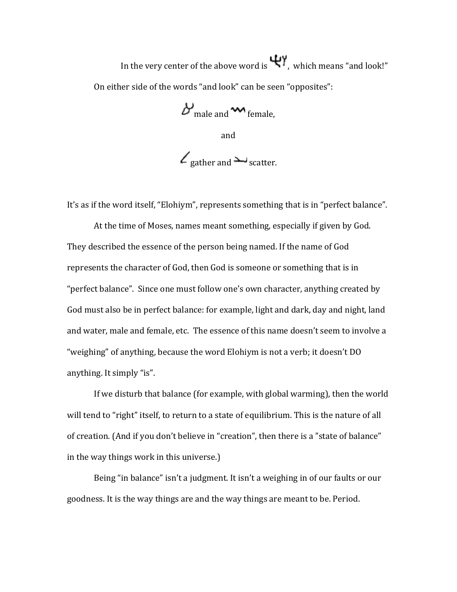In the very center of the above word is  $\Psi$ , which means "and look!" On either side of the words "and look" can be seen "opposites":

 $B_{\text{male and}}$   $\mathbf{w}_{\text{female,}}$ and  $\angle$  gather and  $\sim$  scatter.

It's as if the word itself, "Elohiym", represents something that is in "perfect balance".

At the time of Moses, names meant something, especially if given by God. They described the essence of the person being named. If the name of God represents the character of God, then God is someone or something that is in "perfect balance". Since one must follow one's own character, anything created by God must also be in perfect balance: for example, light and dark, day and night, land and water, male and female, etc. The essence of this name doesn't seem to involve a "weighing" of anything, because the word Elohiym is not a verb; it doesn't DO anything. It simply "is".

If we disturb that balance (for example, with global warming), then the world will tend to "right" itself, to return to a state of equilibrium. This is the nature of all of creation. (And if you don't believe in "creation", then there is a "state of balance" in the way things work in this universe.)

Being "in balance" isn't a judgment. It isn't a weighing in of our faults or our goodness. It is the way things are and the way things are meant to be. Period.